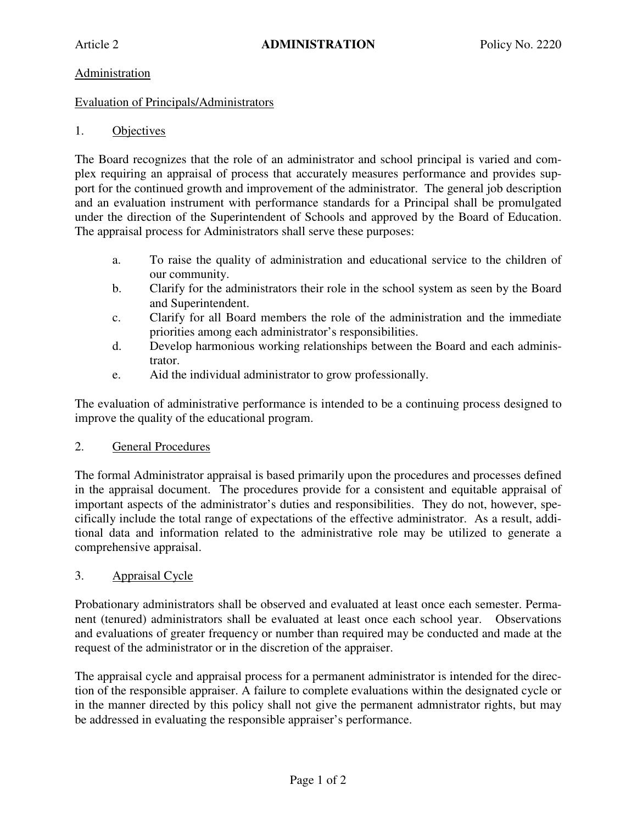# Administration

### Evaluation of Principals/Administrators

# 1. Objectives

The Board recognizes that the role of an administrator and school principal is varied and complex requiring an appraisal of process that accurately measures performance and provides support for the continued growth and improvement of the administrator. The general job description and an evaluation instrument with performance standards for a Principal shall be promulgated under the direction of the Superintendent of Schools and approved by the Board of Education. The appraisal process for Administrators shall serve these purposes:

- a. To raise the quality of administration and educational service to the children of our community.
- b. Clarify for the administrators their role in the school system as seen by the Board and Superintendent.
- c. Clarify for all Board members the role of the administration and the immediate priorities among each administrator's responsibilities.
- d. Develop harmonious working relationships between the Board and each administrator.
- e. Aid the individual administrator to grow professionally.

The evaluation of administrative performance is intended to be a continuing process designed to improve the quality of the educational program.

#### 2. General Procedures

The formal Administrator appraisal is based primarily upon the procedures and processes defined in the appraisal document. The procedures provide for a consistent and equitable appraisal of important aspects of the administrator's duties and responsibilities. They do not, however, specifically include the total range of expectations of the effective administrator. As a result, additional data and information related to the administrative role may be utilized to generate a comprehensive appraisal.

#### 3. Appraisal Cycle

Probationary administrators shall be observed and evaluated at least once each semester. Permanent (tenured) administrators shall be evaluated at least once each school year. Observations and evaluations of greater frequency or number than required may be conducted and made at the request of the administrator or in the discretion of the appraiser.

The appraisal cycle and appraisal process for a permanent administrator is intended for the direction of the responsible appraiser. A failure to complete evaluations within the designated cycle or in the manner directed by this policy shall not give the permanent admnistrator rights, but may be addressed in evaluating the responsible appraiser's performance.